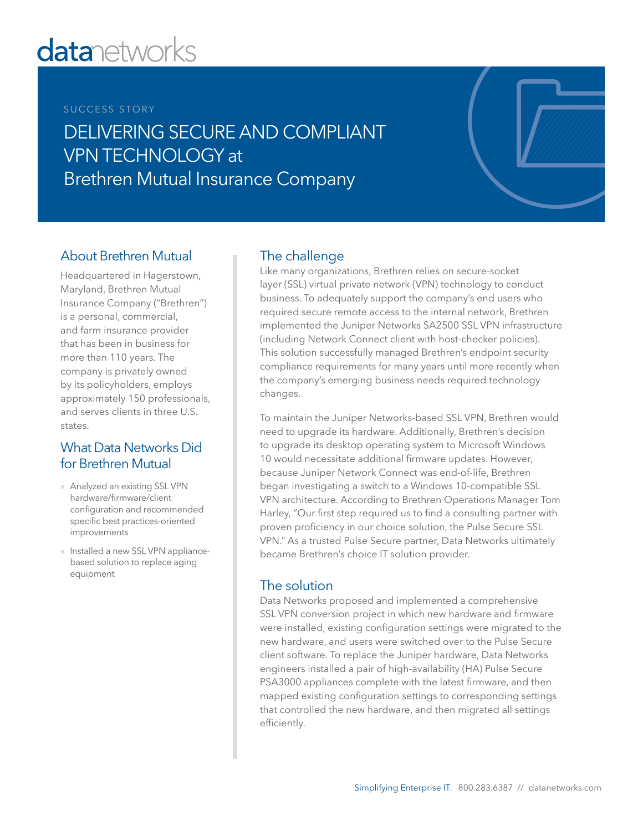# **datanetworks**

#### SUCCESS STORY

DELIVERING SECURE AND COMPLIANT VPN TECHNOLOGY at Brethren Mutual Insurance Company

### About Brethren Mutual

Headquartered in Hagerstown, Maryland, Brethren Mutual Insurance Company ("Brethren") is a personal, commercial, and farm insurance provider that has been in business for more than 110 years. The company is privately owned by its policyholders, employs approximately 150 professionals, and serves clients in three U.S. states.

#### What Data Networks Did for Brethren Mutual

- Analyzed an existing SSL VPN hardware/firmware/client configuration and recommended specific best practices-oriented improvements
- Installed a new SSL VPN appliancebased solution to replace aging equipment

## The challenge

Like many organizations, Brethren relies on secure-socket layer (SSL) virtual private network (VPN) technology to conduct business. To adequately support the company's end users who required secure remote access to the internal network, Brethren implemented the Juniper Networks SA2500 SSL VPN infrastructure (including Network Connect client with host-checker policies). This solution successfully managed Brethren's endpoint security compliance requirements for many years until more recently when the company's emerging business needs required technology changes.

To maintain the Juniper Networks-based SSL VPN, Brethren would need to upgrade its hardware. Additionally, Brethren's decision to upgrade its desktop operating system to Microsoft Windows 10 would necessitate additional firmware updates. However, because Juniper Network Connect was end-of-life, Brethren began investigating a switch to a Windows 10-compatible SSL VPN architecture. According to Brethren Operations Manager Tom Harley, "Our first step required us to find a consulting partner with proven proficiency in our choice solution, the Pulse Secure SSL VPN." As a trusted Pulse Secure partner, Data Networks ultimately became Brethren's choice IT solution provider.

#### The solution

Data Networks proposed and implemented a comprehensive SSL VPN conversion project in which new hardware and firmware were installed, existing configuration settings were migrated to the new hardware, and users were switched over to the Pulse Secure client software. To replace the Juniper hardware, Data Networks engineers installed a pair of high-availability (HA) Pulse Secure PSA3000 appliances complete with the latest firmware, and then mapped existing configuration settings to corresponding settings that controlled the new hardware, and then migrated all settings efficiently.